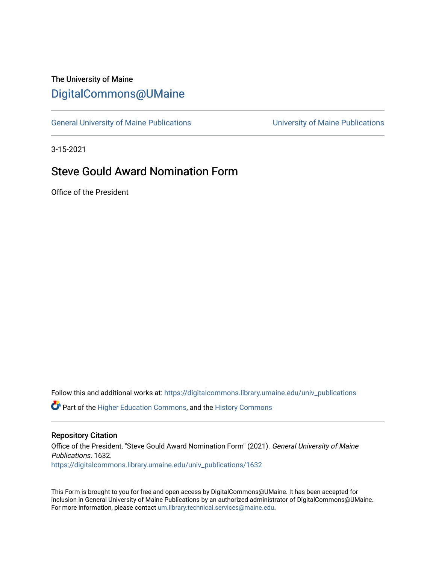### The University of Maine [DigitalCommons@UMaine](https://digitalcommons.library.umaine.edu/)

[General University of Maine Publications](https://digitalcommons.library.umaine.edu/univ_publications) [University of Maine Publications](https://digitalcommons.library.umaine.edu/umaine_publications) 

3-15-2021

## Steve Gould Award Nomination Form

Office of the President

Follow this and additional works at: [https://digitalcommons.library.umaine.edu/univ\\_publications](https://digitalcommons.library.umaine.edu/univ_publications?utm_source=digitalcommons.library.umaine.edu%2Funiv_publications%2F1632&utm_medium=PDF&utm_campaign=PDFCoverPages) 

**C** Part of the [Higher Education Commons,](http://network.bepress.com/hgg/discipline/1245?utm_source=digitalcommons.library.umaine.edu%2Funiv_publications%2F1632&utm_medium=PDF&utm_campaign=PDFCoverPages) and the [History Commons](http://network.bepress.com/hgg/discipline/489?utm_source=digitalcommons.library.umaine.edu%2Funiv_publications%2F1632&utm_medium=PDF&utm_campaign=PDFCoverPages)

#### Repository Citation

Office of the President, "Steve Gould Award Nomination Form" (2021). General University of Maine Publications. 1632. [https://digitalcommons.library.umaine.edu/univ\\_publications/1632](https://digitalcommons.library.umaine.edu/univ_publications/1632?utm_source=digitalcommons.library.umaine.edu%2Funiv_publications%2F1632&utm_medium=PDF&utm_campaign=PDFCoverPages)

This Form is brought to you for free and open access by DigitalCommons@UMaine. It has been accepted for inclusion in General University of Maine Publications by an authorized administrator of DigitalCommons@UMaine. For more information, please contact [um.library.technical.services@maine.edu](mailto:um.library.technical.services@maine.edu).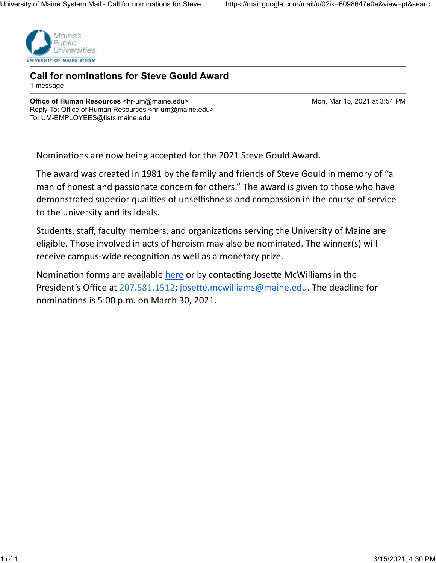

**Call for nominations for Steve Gould Award** 1 message

**Office of Human Resources <hr-um@maine.edu> Mon, Mar 15, 2021 at 3:54 PM** Reply-To: Office of Human Resources <hr-um@maine.edu> To: UM-EMPLOYEES@lists.maine.edu

Nominations are now being accepted for the 2021 Steve Gould Award.

The award was created in 1981 by the family and friends of Steve Gould in memory of "a man of honest and passionate concern for others." The award is given to those who have demonstrated superior qualities of unselfishness and compassion in the course of service to the university and its ideals.

Students, staff, faculty members, and organizations serving the University of Maine are eligible. Those involved in acts of heroism may also be nominated. The winner(s) will receive campus-wide recognition as well as a monetary prize.

Nomination forms are available here or by contacting Josette McWilliams in the President's Office at 207.581.1512; josette.mcwilliams@maine.edu. The deadline for nominations is 5:00 p.m. on March 30, 2021.